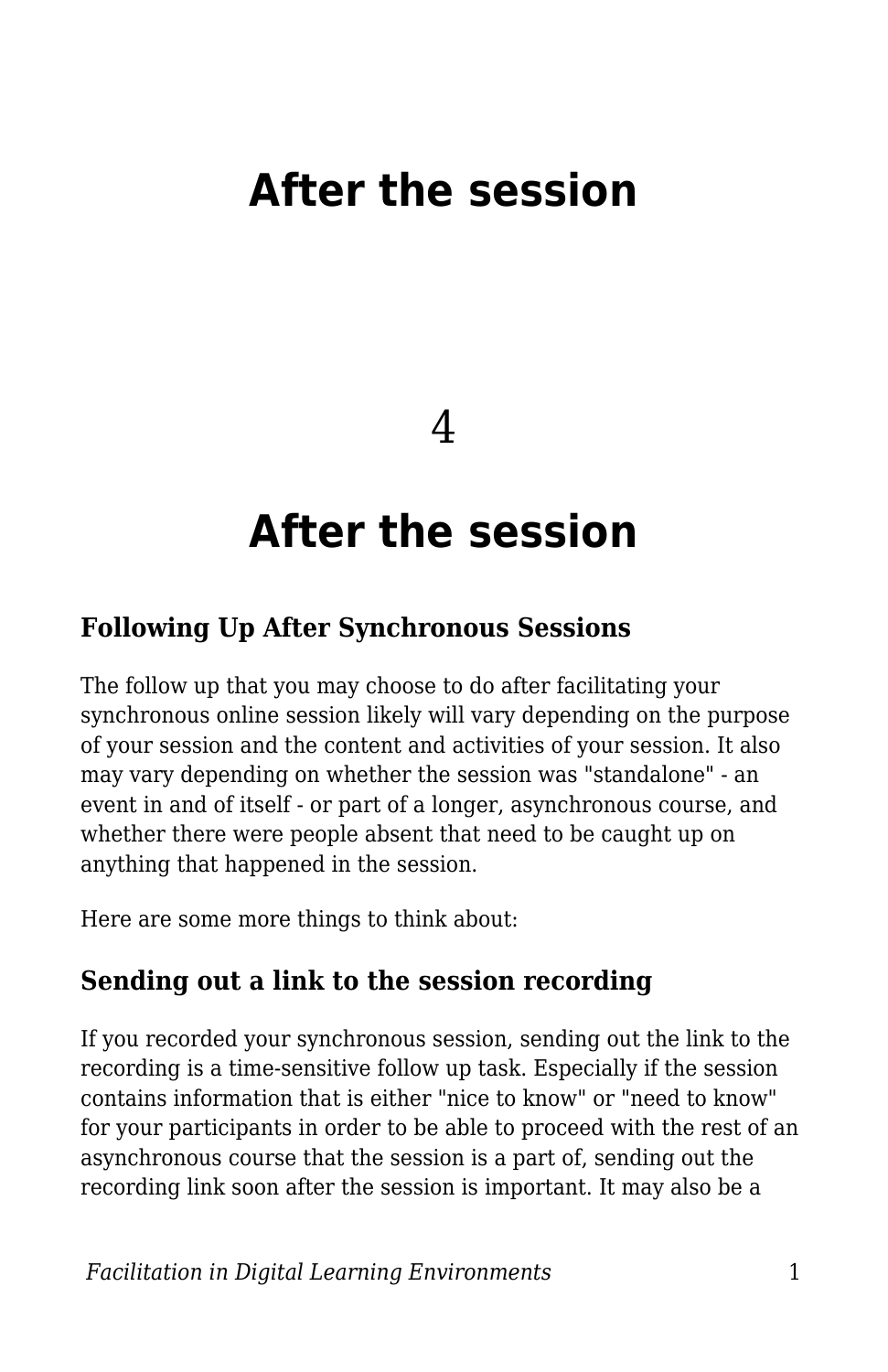# **After the session**

4

# **After the session**

#### **Following Up After Synchronous Sessions**

The follow up that you may choose to do after facilitating your synchronous online session likely will vary depending on the purpose of your session and the content and activities of your session. It also may vary depending on whether the session was "standalone" - an event in and of itself - or part of a longer, asynchronous course, and whether there were people absent that need to be caught up on anything that happened in the session.

Here are some more things to think about:

#### **Sending out a link to the session recording**

If you recorded your synchronous session, sending out the link to the recording is a time-sensitive follow up task. Especially if the session contains information that is either "nice to know" or "need to know" for your participants in order to be able to proceed with the rest of an asynchronous course that the session is a part of, sending out the recording link soon after the session is important. It may also be a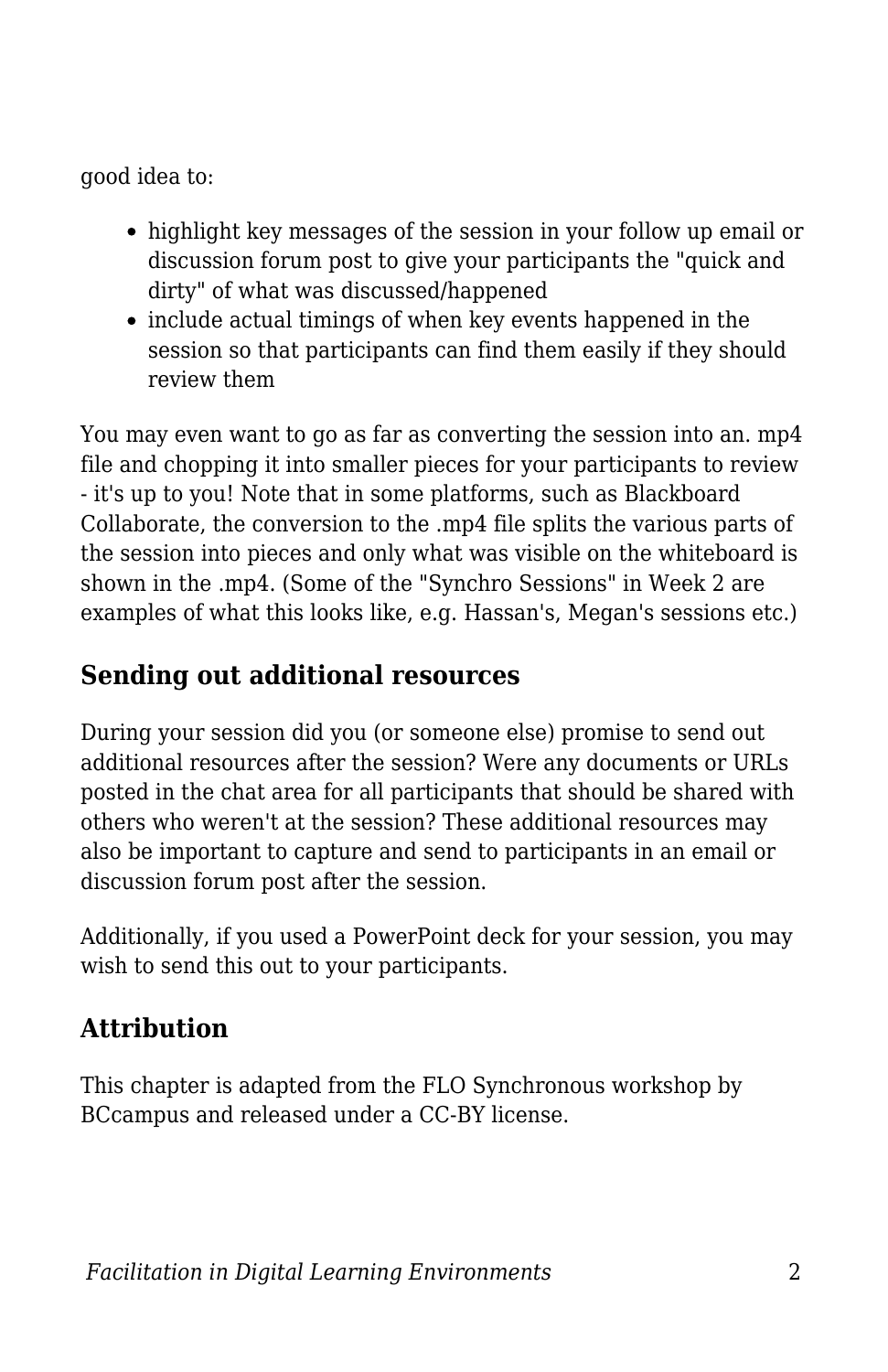good idea to:

- highlight key messages of the session in your follow up email or discussion forum post to give your participants the "quick and dirty" of what was discussed/happened
- include actual timings of when key events happened in the session so that participants can find them easily if they should review them

You may even want to go as far as converting the session into an. mp4 file and chopping it into smaller pieces for your participants to review - it's up to you! Note that in some platforms, such as Blackboard Collaborate, the conversion to the .mp4 file splits the various parts of the session into pieces and only what was visible on the whiteboard is shown in the .mp4. (Some of the "Synchro Sessions" in Week 2 are examples of what this looks like, e.g. Hassan's, Megan's sessions etc.)

### **Sending out additional resources**

During your session did you (or someone else) promise to send out additional resources after the session? Were any documents or URLs posted in the chat area for all participants that should be shared with others who weren't at the session? These additional resources may also be important to capture and send to participants in an email or discussion forum post after the session.

Additionally, if you used a PowerPoint deck for your session, you may wish to send this out to your participants.

### **Attribution**

This chapter is adapted from the FLO Synchronous workshop by BCcampus and released under a CC-BY license.